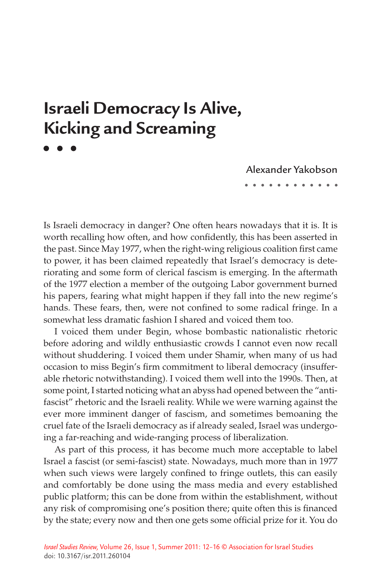## **Israeli Democracy Is Alive, Kicking and Screaming**

Alexander Yakobson

. . . . . . . . . . . .

Is Israeli democracy in danger? One often hears nowadays that it is. It is worth recalling how often, and how confidently, this has been asserted in the past. Since May 1977, when the right-wing religious coalition first came to power, it has been claimed repeatedly that Israel's democracy is deteriorating and some form of clerical fascism is emerging. In the aftermath of the 1977 election a member of the outgoing Labor government burned his papers, fearing what might happen if they fall into the new regime's hands. These fears, then, were not confined to some radical fringe. In a somewhat less dramatic fashion I shared and voiced them too.

I voiced them under Begin, whose bombastic nationalistic rhetoric before adoring and wildly enthusiastic crowds I cannot even now recall without shuddering. I voiced them under Shamir, when many of us had occasion to miss Begin's firm commitment to liberal democracy (insufferable rhetoric notwithstanding). I voiced them well into the 1990s. Then, at some point, I started noticing what an abyss had opened between the "antifascist" rhetoric and the Israeli reality. While we were warning against the ever more imminent danger of fascism, and sometimes bemoaning the cruel fate of the Israeli democracy as if already sealed, Israel was undergoing a far-reaching and wide-ranging process of liberalization.

As part of this process, it has become much more acceptable to label Israel a fascist (or semi-fascist) state. Nowadays, much more than in 1977 when such views were largely confined to fringe outlets, this can easily and comfortably be done using the mass media and every established public platform; this can be done from within the establishment, without any risk of compromising one's position there; quite often this is financed by the state; every now and then one gets some official prize for it. You do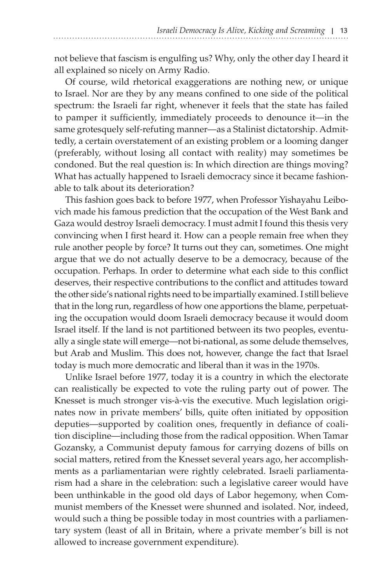not believe that fascism is engulfing us? Why, only the other day I heard it all explained so nicely on Army Radio.

Of course, wild rhetorical exaggerations are nothing new, or unique to Israel. Nor are they by any means confined to one side of the political spectrum: the Israeli far right, whenever it feels that the state has failed to pamper it sufficiently, immediately proceeds to denounce it—in the same grotesquely self-refuting manner—as a Stalinist dictatorship. Admittedly, a certain overstatement of an existing problem or a looming danger (preferably, without losing all contact with reality) may sometimes be condoned. But the real question is: In which direction are things moving? What has actually happened to Israeli democracy since it became fashionable to talk about its deterioration?

This fashion goes back to before 1977, when Professor Yishayahu Leibovich made his famous prediction that the occupation of the West Bank and Gaza would destroy Israeli democracy. I must admit I found this thesis very convincing when I first heard it. How can a people remain free when they rule another people by force? It turns out they can, sometimes. One might argue that we do not actually deserve to be a democracy, because of the occupation. Perhaps. In order to determine what each side to this conflict deserves, their respective contributions to the conflict and attitudes toward the other side's national rights need to be impartially examined. I still believe that in the long run, regardless of how one apportions the blame, perpetuating the occupation would doom Israeli democracy because it would doom Israel itself. If the land is not partitioned between its two peoples, eventually a single state will emerge—not bi-national, as some delude themselves, but Arab and Muslim. This does not, however, change the fact that Israel today is much more democratic and liberal than it was in the 1970s.

Unlike Israel before 1977, today it is a country in which the electorate can realistically be expected to vote the ruling party out of power. The Knesset is much stronger vis-à-vis the executive. Much legislation originates now in private members' bills, quite often initiated by opposition deputies—supported by coalition ones, frequently in defiance of coalition discipline—including those from the radical opposition. When Tamar Gozansky, a Communist deputy famous for carrying dozens of bills on social matters, retired from the Knesset several years ago, her accomplishments as a parliamentarian were rightly celebrated. Israeli parliamentarism had a share in the celebration: such a legislative career would have been unthinkable in the good old days of Labor hegemony, when Communist members of the Knesset were shunned and isolated. Nor, indeed, would such a thing be possible today in most countries with a parliamentary system (least of all in Britain, where a private member's bill is not allowed to increase government expenditure).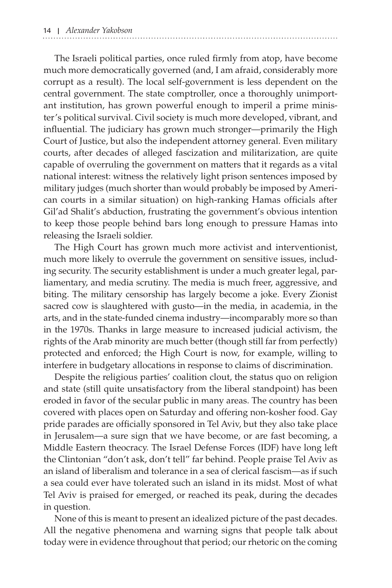The Israeli political parties, once ruled firmly from atop, have become much more democratically governed (and, I am afraid, considerably more corrupt as a result). The local self-government is less dependent on the central government. The state comptroller, once a thoroughly unimportant institution, has grown powerful enough to imperil a prime minister's political survival. Civil society is much more developed, vibrant, and influential. The judiciary has grown much stronger—primarily the High Court of Justice, but also the independent attorney general. Even military courts, after decades of alleged fascization and militarization, are quite capable of overruling the government on matters that it regards as a vital national interest: witness the relatively light prison sentences imposed by military judges (much shorter than would probably be imposed by American courts in a similar situation) on high-ranking Hamas officials after Gil'ad Shalit's abduction, frustrating the government's obvious intention to keep those people behind bars long enough to pressure Hamas into releasing the Israeli soldier.

The High Court has grown much more activist and interventionist, much more likely to overrule the government on sensitive issues, including security. The security establishment is under a much greater legal, parliamentary, and media scrutiny. The media is much freer, aggressive, and biting. The military censorship has largely become a joke. Every Zionist sacred cow is slaughtered with gusto—in the media, in academia, in the arts, and in the state-funded cinema industry—incomparably more so than in the 1970s. Thanks in large measure to increased judicial activism, the rights of the Arab minority are much better (though still far from perfectly) protected and enforced; the High Court is now, for example, willing to interfere in budgetary allocations in response to claims of discrimination.

Despite the religious parties' coalition clout, the status quo on religion and state (still quite unsatisfactory from the liberal standpoint) has been eroded in favor of the secular public in many areas. The country has been covered with places open on Saturday and offering non-kosher food. Gay pride parades are officially sponsored in Tel Aviv, but they also take place in Jerusalem—a sure sign that we have become, or are fast becoming, a Middle Eastern theocracy. The Israel Defense Forces (IDF) have long left the Clintonian "don't ask, don't tell" far behind. People praise Tel Aviv as an island of liberalism and tolerance in a sea of clerical fascism—as if such a sea could ever have tolerated such an island in its midst. Most of what Tel Aviv is praised for emerged, or reached its peak, during the decades in question.

None of this is meant to present an idealized picture of the past decades. All the negative phenomena and warning signs that people talk about today were in evidence throughout that period; our rhetoric on the coming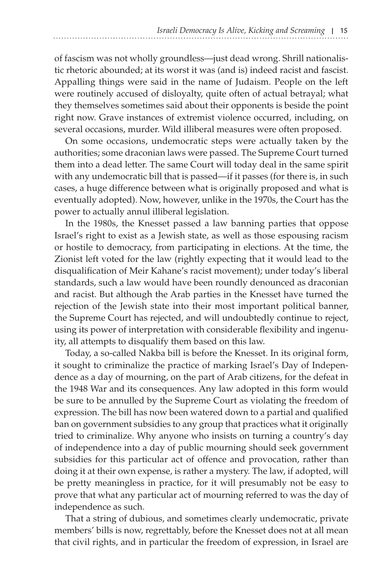of fascism was not wholly groundless—just dead wrong. Shrill nationalistic rhetoric abounded; at its worst it was (and is) indeed racist and fascist. Appalling things were said in the name of Judaism. People on the left were routinely accused of disloyalty, quite often of actual betrayal; what they themselves sometimes said about their opponents is beside the point right now. Grave instances of extremist violence occurred, including, on several occasions, murder. Wild illiberal measures were often proposed.

On some occasions, undemocratic steps were actually taken by the authorities; some draconian laws were passed. The Supreme Court turned them into a dead letter. The same Court will today deal in the same spirit with any undemocratic bill that is passed—if it passes (for there is, in such cases, a huge difference between what is originally proposed and what is eventually adopted). Now, however, unlike in the 1970s, the Court has the power to actually annul illiberal legislation.

In the 1980s, the Knesset passed a law banning parties that oppose Israel's right to exist as a Jewish state, as well as those espousing racism or hostile to democracy, from participating in elections. At the time, the Zionist left voted for the law (rightly expecting that it would lead to the disqualification of Meir Kahane's racist movement); under today's liberal standards, such a law would have been roundly denounced as draconian and racist. But although the Arab parties in the Knesset have turned the rejection of the Jewish state into their most important political banner, the Supreme Court has rejected, and will undoubtedly continue to reject, using its power of interpretation with considerable flexibility and ingenuity, all attempts to disqualify them based on this law.

Today, a so-called Nakba bill is before the Knesset. In its original form, it sought to criminalize the practice of marking Israel's Day of Independence as a day of mourning, on the part of Arab citizens, for the defeat in the 1948 War and its consequences. Any law adopted in this form would be sure to be annulled by the Supreme Court as violating the freedom of expression. The bill has now been watered down to a partial and qualified ban on government subsidies to any group that practices what it originally tried to criminalize. Why anyone who insists on turning a country's day of independence into a day of public mourning should seek government subsidies for this particular act of offence and provocation, rather than doing it at their own expense, is rather a mystery. The law, if adopted, will be pretty meaningless in practice, for it will presumably not be easy to prove that what any particular act of mourning referred to was the day of independence as such.

That a string of dubious, and sometimes clearly undemocratic, private members' bills is now, regrettably, before the Knesset does not at all mean that civil rights, and in particular the freedom of expression, in Israel are